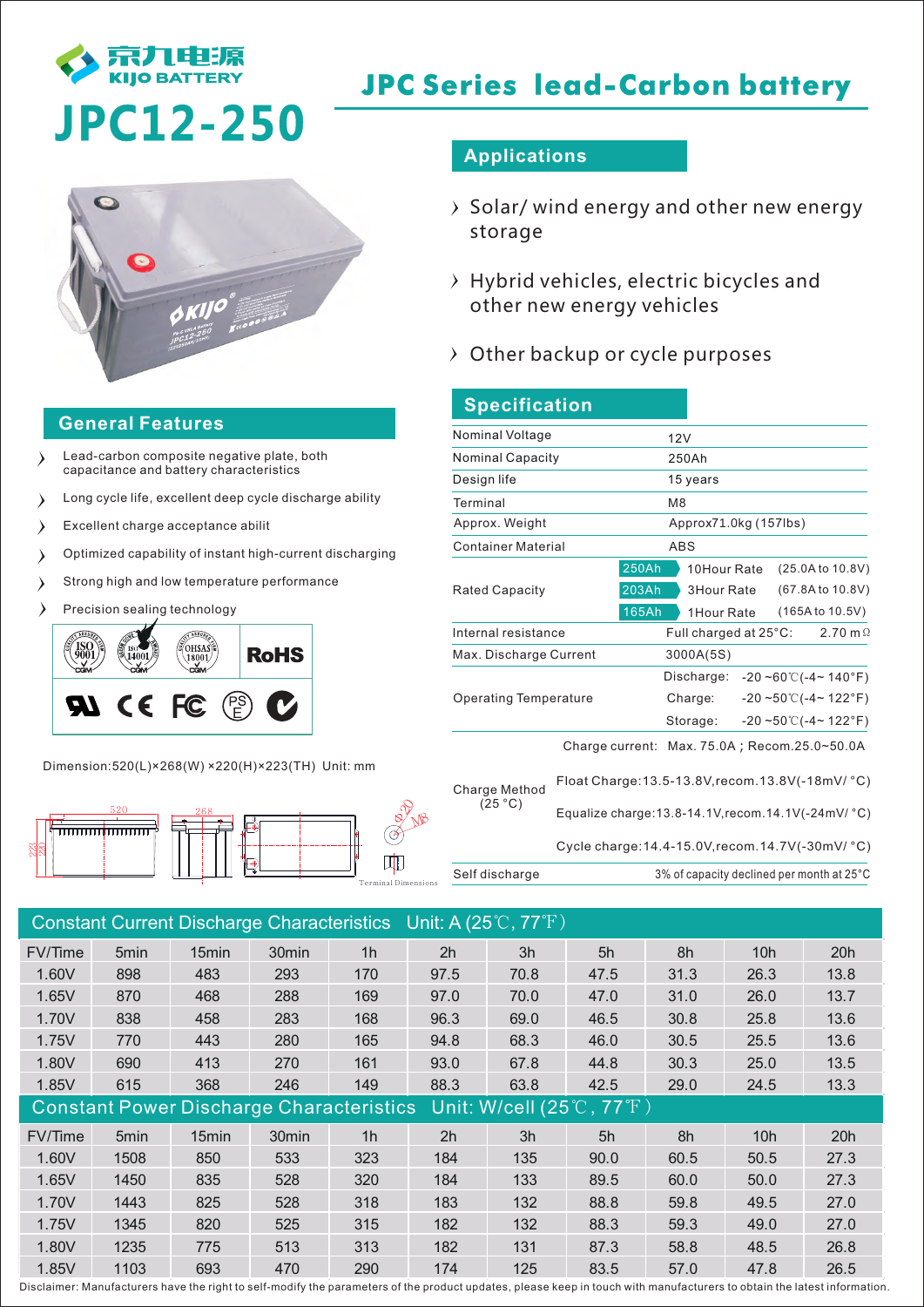

# **JPC Series lead-Carbon battery**

# **JPC12-250**



### **General Features**

- Lead-carbon composite negative plate, both  $\lambda$ capacitance and battery characteristics
- Long cycle life, excellent deep cycle discharge ability  $\rightarrow$
- $\rightarrow$ Excellent charge acceptance abilit
- Optimized capability of instant high-current discharging  $\lambda$
- Strong high and low temperature performance  $\lambda$
- Precision sealing technology



Dimension:520(L)×268(W) ×220(H)×223(TH) Unit: mm



## **Applications**

- $\rightarrow$  Solar/ wind energy and other new energy storage
- $\rightarrow$  Hybrid vehicles, electric bicycles and other new energy vehicles
- $\rightarrow$  Other backup or cycle purposes

| <b>Specification</b>         |                                                      |                       |  |                                |                                              |  |
|------------------------------|------------------------------------------------------|-----------------------|--|--------------------------------|----------------------------------------------|--|
| Nominal Voltage              | 12V                                                  |                       |  |                                |                                              |  |
| <b>Nominal Capacity</b>      | 250Ah                                                |                       |  |                                |                                              |  |
| Design life                  | 15 years                                             |                       |  |                                |                                              |  |
| Terminal                     | M <sub>8</sub>                                       |                       |  |                                |                                              |  |
| Approx. Weight               |                                                      | Approx71.0kg (157lbs) |  |                                |                                              |  |
| <b>Container Material</b>    | ABS                                                  |                       |  |                                |                                              |  |
|                              | 250Ah<br>10Hour Rate                                 |                       |  | (25.0A to 10.8V)               |                                              |  |
| <b>Rated Capacity</b>        | 203Ah<br>3Hour Rate                                  |                       |  | (67.8A to 10.8V)               |                                              |  |
|                              | <b>165Ah</b><br>1 Hour Rate                          |                       |  | (165A to 10.5V)                |                                              |  |
| Internal resistance          | Full charged at 25°C:                                |                       |  | 2.70 m $\Omega$                |                                              |  |
| Max. Discharge Current       | 3000A(5S)                                            |                       |  |                                |                                              |  |
|                              |                                                      | Discharge:            |  |                                | $-20 - 60^{\circ}$ ( $-4$ $- 140^{\circ}$ F) |  |
| <b>Operating Temperature</b> | Charge:                                              |                       |  | $-20 - 50^{\circ}$ (-4~ 122°F) |                                              |  |
|                              | Storage:                                             |                       |  | $-20 - 50^{\circ}$ (-4~ 122°F) |                                              |  |
|                              | Charge current: $Max. 75.0A$ ; Recom.25.0~50.0A      |                       |  |                                |                                              |  |
| Charge Method<br>(25 °C)     | Float Charge: 13.5-13.8V, recom. 13.8V(-18mV/ °C)    |                       |  |                                |                                              |  |
|                              | Equalize charge: 13.8-14.1V, recom. 14.1V(-24mV/ °C) |                       |  |                                |                                              |  |

Cycle charge:14.4-15.0V,recom.14.7V(-30mV/ °C)

Self discharge 3% of capacity declined per month at 25°C

| Constant Current Discharge Characteristics Unit: A (25°C, 77°F) |      |                   |                   |                |                                                                           |      |      |      |      |      |
|-----------------------------------------------------------------|------|-------------------|-------------------|----------------|---------------------------------------------------------------------------|------|------|------|------|------|
| FV/Time                                                         | 5min | 15 <sub>min</sub> | 30 <sub>min</sub> | 1 <sub>h</sub> | 2h                                                                        | 3h   | 5h   | 8h   | 10h  | 20h  |
| 1.60V                                                           | 898  | 483               | 293               | 170            | 97.5                                                                      | 70.8 | 47.5 | 31.3 | 26.3 | 13.8 |
| 1.65V                                                           | 870  | 468               | 288               | 169            | 97.0                                                                      | 70.0 | 47.0 | 31.0 | 26.0 | 13.7 |
| 1.70V                                                           | 838  | 458               | 283               | 168            | 96.3                                                                      | 69.0 | 46.5 | 30.8 | 25.8 | 13.6 |
| 1.75V                                                           | 770  | 443               | 280               | 165            | 94.8                                                                      | 68.3 | 46.0 | 30.5 | 25.5 | 13.6 |
| 1.80V                                                           | 690  | 413               | 270               | 161            | 93.0                                                                      | 67.8 | 44.8 | 30.3 | 25.0 | 13.5 |
| 1.85V                                                           | 615  | 368               | 246               | 149            | 88.3                                                                      | 63.8 | 42.5 | 29.0 | 24.5 | 13.3 |
| <b>Constant Power Discharge Characteristics</b>                 |      |                   |                   |                | Unit: W/cell $\overline{(25\,^{\circ}\text{C}$ , 77 $^{\circ}\text{F}}$ ) |      |      |      |      |      |
| FV/Time                                                         | 5min | 15min             | 30min             | 1 <sub>h</sub> | 2h                                                                        | 3h   | 5h   | 8h   | 10h  | 20h  |
| 1.60V                                                           | 1508 | 850               | 533               | 323            | 184                                                                       | 135  | 90.0 | 60.5 | 50.5 | 27.3 |
| 1.65V                                                           | 1450 | 835               | 528               | 320            | 184                                                                       | 133  | 89.5 | 60.0 | 50.0 | 27.3 |
| 1.70V                                                           | 1443 | 825               | 528               | 318            | 183                                                                       | 132  | 88.8 | 59.8 | 49.5 | 27.0 |
| 1.75V                                                           | 1345 | 820               | 525               | 315            | 182                                                                       | 132  | 88.3 | 59.3 | 49.0 | 27.0 |
| 1.80V                                                           | 1235 | 775               | 513               | 313            | 182                                                                       | 131  | 87.3 | 58.8 | 48.5 | 26.8 |
| 1.85V                                                           | 1103 | 693               | 470               | 290            | 174                                                                       | 125  | 83.5 | 57.0 | 47.8 | 26.5 |

Disclaimer: Manufacturers have the right to self-modify the parameters of the product updates, please keep in touch with manufacturers to obtain the latest information.